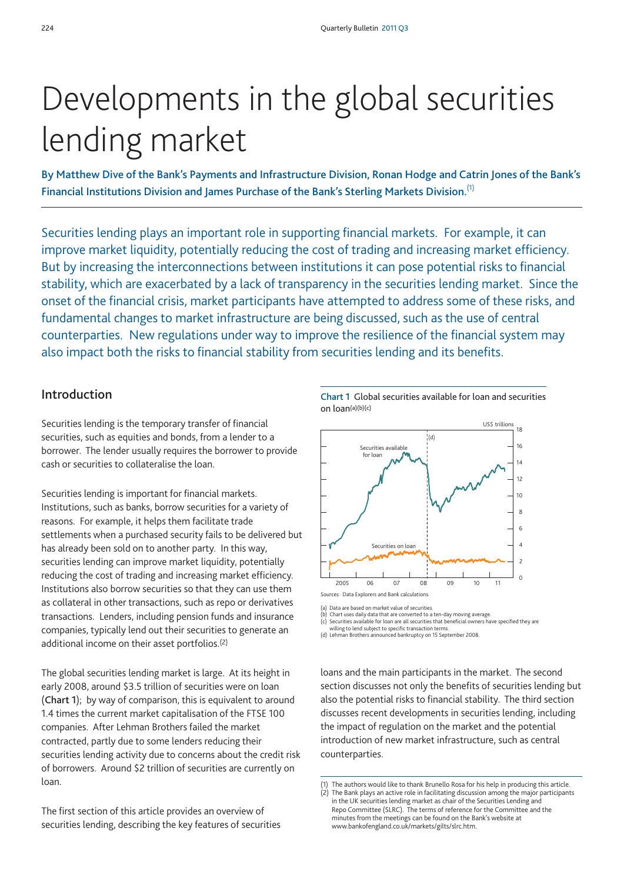# Developments in the global securities lending market

**By Matthew Dive of the Bank's Payments and Infrastructure Division, Ronan Hodge and Catrin Jones of the Bank's Financial Institutions Division and James Purchase of the Bank's Sterling Markets Division.**(1)

Securities lending plays an important role in supporting financial markets. For example, it can improve market liquidity, potentially reducing the cost of trading and increasing market efficiency. But by increasing the interconnections between institutions it can pose potential risks to financial stability, which are exacerbated by a lack of transparency in the securities lending market. Since the onset of the financial crisis, market participants have attempted to address some of these risks, and fundamental changes to market infrastructure are being discussed, such as the use of central counterparties. New regulations under way to improve the resilience of the financial system may also impact both the risks to financial stability from securities lending and its benefits.

## **Introduction**

Securities lending is the temporary transfer of financial securities, such as equities and bonds, from a lender to a borrower. The lender usually requires the borrower to provide cash or securities to collateralise the loan.

Securities lending is important for financial markets. Institutions, such as banks, borrow securities for a variety of reasons. For example, it helps them facilitate trade settlements when a purchased security fails to be delivered but has already been sold on to another party. In this way, securities lending can improve market liquidity, potentially reducing the cost of trading and increasing market efficiency. Institutions also borrow securities so that they can use them as collateral in other transactions, such as repo or derivatives transactions. Lenders, including pension funds and insurance companies, typically lend out their securities to generate an additional income on their asset portfolios.(2)

The global securities lending market is large. At its height in early 2008, around \$3.5 trillion of securities were on loan (**Chart 1**); by way of comparison, this is equivalent to around 1.4 times the current market capitalisation of the FTSE 100 companies. After Lehman Brothers failed the market contracted, partly due to some lenders reducing their securities lending activity due to concerns about the credit risk of borrowers. Around \$2 trillion of securities are currently on loan.

The first section of this article provides an overview of securities lending, describing the key features of securities





(a) Data are based on market value of securities. (b) Chart uses daily data that are converted to a ten-day moving average.

(c) Securities available for loan are all securities that beneficial owners have specified they are

willing to lend subject to specific transaction terms. (d) Lehman Brothers announced bankruptcy on 15 September 2008.

loans and the main participants in the market. The second section discusses not only the benefits of securities lending but also the potential risks to financial stability. The third section discusses recent developments in securities lending, including the impact of regulation on the market and the potential introduction of new market infrastructure, such as central counterparties.

<sup>(1)</sup> The authors would like to thank Brunello Rosa for his help in producing this article.

<sup>(2)</sup> The Bank plays an active role in facilitating discussion among the major participants in the UK securities lending market as chair of the Securities Lending and Repo Committee (SLRC). The terms of reference for the Committee and the minutes from the meetings can be found on the Bank's website at www.bankofengland.co.uk/markets/gilts/slrc.htm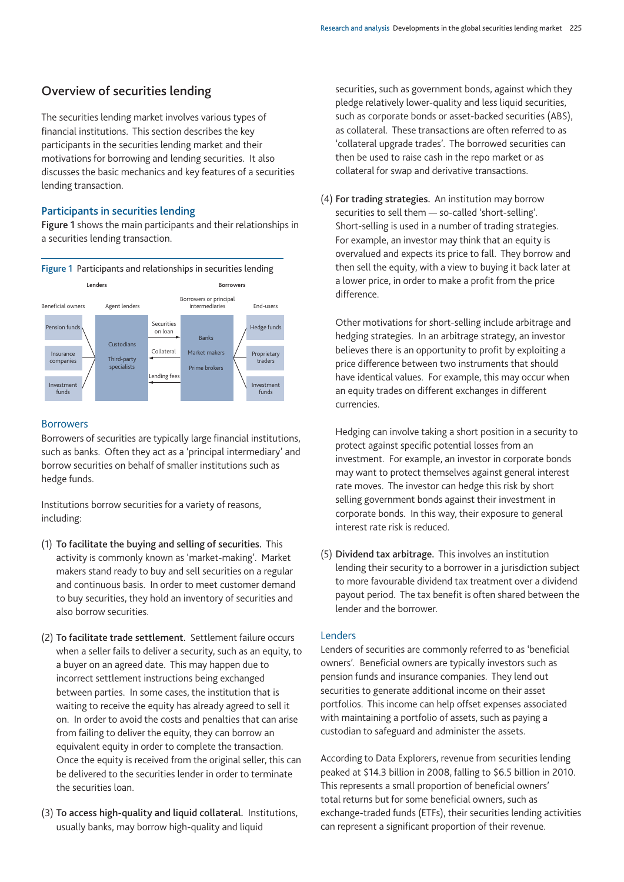# **Overview of securities lending**

The securities lending market involves various types of financial institutions. This section describes the key participants in the securities lending market and their motivations for borrowing and lending securities. It also discusses the basic mechanics and key features of a securities lending transaction.

## **Participants in securities lending**

**Figure 1** shows the main participants and their relationships in a securities lending transaction.



## **Borrowers**

Borrowers of securities are typically large financial institutions, such as banks. Often they act as a 'principal intermediary' and borrow securities on behalf of smaller institutions such as hedge funds.

Institutions borrow securities for a variety of reasons, including:

- (1) **To facilitate the buying and selling of securities.** This activity is commonly known as 'market-making'. Market makers stand ready to buy and sell securities on a regular and continuous basis. In order to meet customer demand to buy securities, they hold an inventory of securities and also borrow securities.
- (2) **To facilitate trade settlement.** Settlement failure occurs when a seller fails to deliver a security, such as an equity, to a buyer on an agreed date. This may happen due to incorrect settlement instructions being exchanged between parties. In some cases, the institution that is waiting to receive the equity has already agreed to sell it on. In order to avoid the costs and penalties that can arise from failing to deliver the equity, they can borrow an equivalent equity in order to complete the transaction. Once the equity is received from the original seller, this can be delivered to the securities lender in order to terminate the securities loan.
- (3) **To access high-quality and liquid collateral.** Institutions, usually banks, may borrow high-quality and liquid

securities, such as government bonds, against which they pledge relatively lower-quality and less liquid securities, such as corporate bonds or asset-backed securities (ABS), as collateral. These transactions are often referred to as 'collateral upgrade trades'. The borrowed securities can then be used to raise cash in the repo market or as collateral for swap and derivative transactions.

(4) **For trading strategies.** An institution may borrow securities to sell them — so-called 'short-selling'. Short-selling is used in a number of trading strategies. For example, an investor may think that an equity is overvalued and expects its price to fall. They borrow and then sell the equity, with a view to buying it back later at a lower price, in order to make a profit from the price difference.

Other motivations for short-selling include arbitrage and hedging strategies. In an arbitrage strategy, an investor believes there is an opportunity to profit by exploiting a price difference between two instruments that should have identical values. For example, this may occur when an equity trades on different exchanges in different currencies.

Hedging can involve taking a short position in a security to protect against specific potential losses from an investment. For example, an investor in corporate bonds may want to protect themselves against general interest rate moves. The investor can hedge this risk by short selling government bonds against their investment in corporate bonds. In this way, their exposure to general interest rate risk is reduced.

(5) **Dividend tax arbitrage.** This involves an institution lending their security to a borrower in a jurisdiction subject to more favourable dividend tax treatment over a dividend payout period. The tax benefit is often shared between the lender and the borrower.

## Lenders

Lenders of securities are commonly referred to as 'beneficial owners'. Beneficial owners are typically investors such as pension funds and insurance companies. They lend out securities to generate additional income on their asset portfolios. This income can help offset expenses associated with maintaining a portfolio of assets, such as paying a custodian to safeguard and administer the assets.

According to Data Explorers, revenue from securities lending peaked at \$14.3 billion in 2008, falling to \$6.5 billion in 2010. This represents a small proportion of beneficial owners' total returns but for some beneficial owners, such as exchange-traded funds (ETFs), their securities lending activities can represent a significant proportion of their revenue.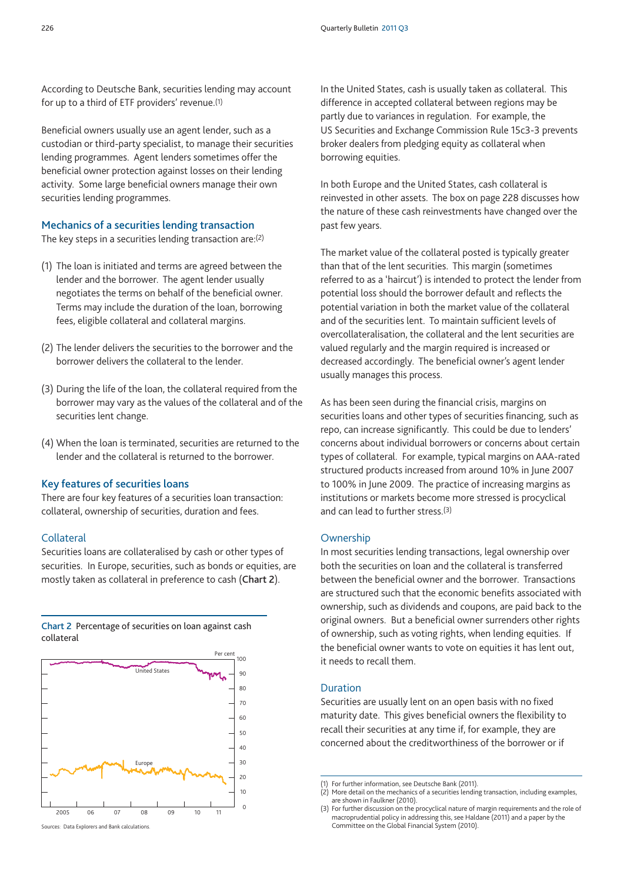According to Deutsche Bank, securities lending may account for up to a third of ETF providers' revenue.(1)

Beneficial owners usually use an agent lender, such as a custodian or third-party specialist, to manage their securities lending programmes. Agent lenders sometimes offer the beneficial owner protection against losses on their lending activity. Some large beneficial owners manage their own securities lending programmes.

#### **Mechanics of a securities lending transaction**

The key steps in a securities lending transaction are:(2)

- (1) The loan is initiated and terms are agreed between the lender and the borrower. The agent lender usually negotiates the terms on behalf of the beneficial owner. Terms may include the duration of the loan, borrowing fees, eligible collateral and collateral margins.
- (2) The lender delivers the securities to the borrower and the borrower delivers the collateral to the lender.
- (3) During the life of the loan, the collateral required from the borrower may vary as the values of the collateral and of the securities lent change.
- (4) When the loan is terminated, securities are returned to the lender and the collateral is returned to the borrower.

#### **Key features of securities loans**

There are four key features of a securities loan transaction: collateral, ownership of securities, duration and fees.

#### Collateral

Securities loans are collateralised by cash or other types of securities. In Europe, securities, such as bonds or equities, are mostly taken as collateral in preference to cash (**Chart 2**).

**Chart 2** Percentage of securities on loan against cash collateral



In the United States, cash is usually taken as collateral. This difference in accepted collateral between regions may be partly due to variances in regulation. For example, the US Securities and Exchange Commission Rule 15c3-3 prevents broker dealers from pledging equity as collateral when borrowing equities.

In both Europe and the United States, cash collateral is reinvested in other assets. The box on page 228 discusses how the nature of these cash reinvestments have changed over the past few years.

The market value of the collateral posted is typically greater than that of the lent securities. This margin (sometimes referred to as a 'haircut') is intended to protect the lender from potential loss should the borrower default and reflects the potential variation in both the market value of the collateral and of the securities lent. To maintain sufficient levels of overcollateralisation, the collateral and the lent securities are valued regularly and the margin required is increased or decreased accordingly. The beneficial owner's agent lender usually manages this process.

As has been seen during the financial crisis, margins on securities loans and other types of securities financing, such as repo, can increase significantly. This could be due to lenders' concerns about individual borrowers or concerns about certain types of collateral. For example, typical margins on AAA-rated structured products increased from around 10% in June 2007 to 100% in June 2009. The practice of increasing margins as institutions or markets become more stressed is procyclical and can lead to further stress.(3)

## **Ownership**

In most securities lending transactions, legal ownership over both the securities on loan and the collateral is transferred between the beneficial owner and the borrower. Transactions are structured such that the economic benefits associated with ownership, such as dividends and coupons, are paid back to the original owners. But a beneficial owner surrenders other rights of ownership, such as voting rights, when lending equities. If the beneficial owner wants to vote on equities it has lent out, it needs to recall them.

#### Duration

Securities are usually lent on an open basis with no fixed maturity date. This gives beneficial owners the flexibility to recall their securities at any time if, for example, they are concerned about the creditworthiness of the borrower or if

<sup>(1)</sup> For further information, see Deutsche Bank (2011).

<sup>(2)</sup> More detail on the mechanics of a securities lending transaction, including examples, are shown in Faulkner (2010).

<sup>(3)</sup> For further discussion on the procyclical nature of margin requirements and the role of macroprudential policy in addressing this, see Haldane (2011) and a paper by the Committee on the Global Financial System (2010).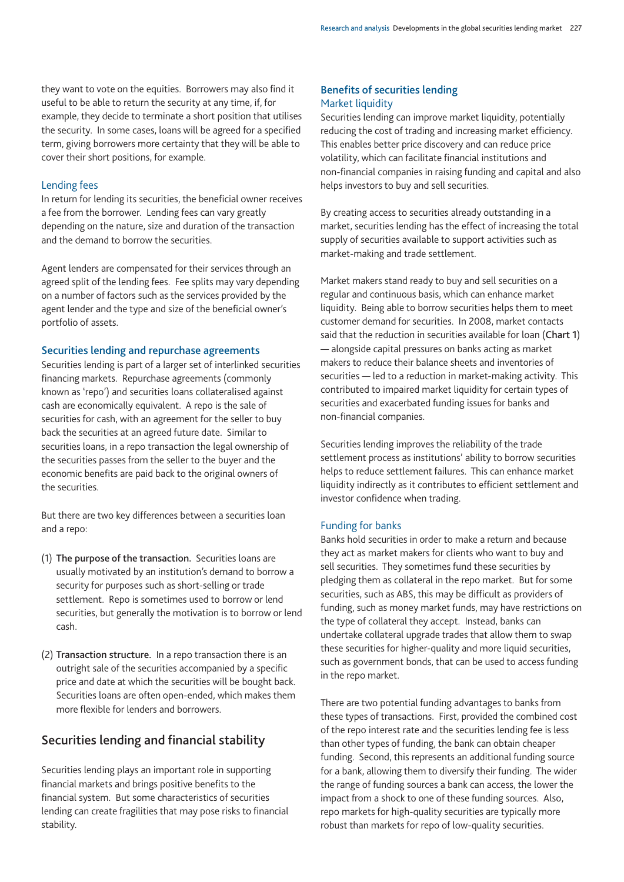they want to vote on the equities. Borrowers may also find it useful to be able to return the security at any time, if, for example, they decide to terminate a short position that utilises the security. In some cases, loans will be agreed for a specified term, giving borrowers more certainty that they will be able to cover their short positions, for example.

## Lending fees

In return for lending its securities, the beneficial owner receives a fee from the borrower. Lending fees can vary greatly depending on the nature, size and duration of the transaction and the demand to borrow the securities.

Agent lenders are compensated for their services through an agreed split of the lending fees. Fee splits may vary depending on a number of factors such as the services provided by the agent lender and the type and size of the beneficial owner's portfolio of assets.

## **Securities lending and repurchase agreements**

Securities lending is part of a larger set of interlinked securities financing markets. Repurchase agreements (commonly known as 'repo') and securities loans collateralised against cash are economically equivalent. A repo is the sale of securities for cash, with an agreement for the seller to buy back the securities at an agreed future date. Similar to securities loans, in a repo transaction the legal ownership of the securities passes from the seller to the buyer and the economic benefits are paid back to the original owners of the securities.

But there are two key differences between a securities loan and a repo:

- (1) **The purpose of the transaction.** Securities loans are usually motivated by an institution's demand to borrow a security for purposes such as short-selling or trade settlement. Repo is sometimes used to borrow or lend securities, but generally the motivation is to borrow or lend cash.
- (2) **Transaction structure.** In a repo transaction there is an outright sale of the securities accompanied by a specific price and date at which the securities will be bought back. Securities loans are often open-ended, which makes them more flexible for lenders and borrowers.

# **Securities lending and financial stability**

Securities lending plays an important role in supporting financial markets and brings positive benefits to the financial system. But some characteristics of securities lending can create fragilities that may pose risks to financial stability.

## **Benefits of securities lending** Market liquidity

Securities lending can improve market liquidity, potentially reducing the cost of trading and increasing market efficiency. This enables better price discovery and can reduce price volatility, which can facilitate financial institutions and non-financial companies in raising funding and capital and also helps investors to buy and sell securities.

By creating access to securities already outstanding in a market, securities lending has the effect of increasing the total supply of securities available to support activities such as market-making and trade settlement.

Market makers stand ready to buy and sell securities on a regular and continuous basis, which can enhance market liquidity. Being able to borrow securities helps them to meet customer demand for securities. In 2008, market contacts said that the reduction in securities available for loan (**Chart 1**) — alongside capital pressures on banks acting as market makers to reduce their balance sheets and inventories of securities — led to a reduction in market-making activity. This contributed to impaired market liquidity for certain types of securities and exacerbated funding issues for banks and non-financial companies.

Securities lending improves the reliability of the trade settlement process as institutions' ability to borrow securities helps to reduce settlement failures. This can enhance market liquidity indirectly as it contributes to efficient settlement and investor confidence when trading.

## Funding for banks

Banks hold securities in order to make a return and because they act as market makers for clients who want to buy and sell securities. They sometimes fund these securities by pledging them as collateral in the repo market. But for some securities, such as ABS, this may be difficult as providers of funding, such as money market funds, may have restrictions on the type of collateral they accept. Instead, banks can undertake collateral upgrade trades that allow them to swap these securities for higher-quality and more liquid securities, such as government bonds, that can be used to access funding in the repo market.

There are two potential funding advantages to banks from these types of transactions. First, provided the combined cost of the repo interest rate and the securities lending fee is less than other types of funding, the bank can obtain cheaper funding. Second, this represents an additional funding source for a bank, allowing them to diversify their funding. The wider the range of funding sources a bank can access, the lower the impact from a shock to one of these funding sources. Also, repo markets for high-quality securities are typically more robust than markets for repo of low-quality securities.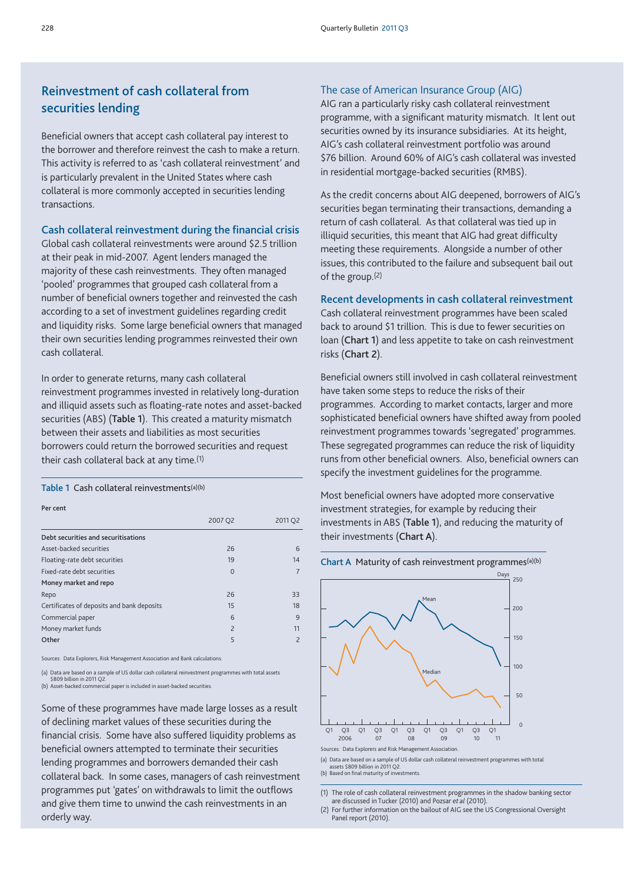# **Reinvestment of cash collateral from securities lending**

Beneficial owners that accept cash collateral pay interest to the borrower and therefore reinvest the cash to make a return. This activity is referred to as 'cash collateral reinvestment' and is particularly prevalent in the United States where cash collateral is more commonly accepted in securities lending transactions.

## **Cash collateral reinvestment during the financial crisis**

Global cash collateral reinvestments were around \$2.5 trillion at their peak in mid-2007. Agent lenders managed the majority of these cash reinvestments. They often managed 'pooled' programmes that grouped cash collateral from a number of beneficial owners together and reinvested the cash according to a set of investment guidelines regarding credit and liquidity risks. Some large beneficial owners that managed their own securities lending programmes reinvested their own cash collateral.

In order to generate returns, many cash collateral reinvestment programmes invested in relatively long-duration and illiquid assets such as floating-rate notes and asset-backed securities (ABS) (**Table 1**). This created a maturity mismatch between their assets and liabilities as most securities borrowers could return the borrowed securities and request their cash collateral back at any time.(1)

#### **Table 1** Cash collateral reinvestments(a)(b)

| Per cent                                   |                |                |
|--------------------------------------------|----------------|----------------|
|                                            | 2007 Q2        | 2011 Q2        |
| Debt securities and securitisations        |                |                |
| Asset-backed securities                    | 26             | 6              |
| Floating-rate debt securities              | 19             | 14             |
| Fixed-rate debt securities                 | $\Omega$       | $\overline{7}$ |
| Money market and repo                      |                |                |
| Repo                                       | 26             | 33             |
| Certificates of deposits and bank deposits | 15             | 18             |
| Commercial paper                           | 6              | 9              |
| Money market funds                         | $\overline{c}$ | 11             |
| Other                                      | 5              | $\overline{c}$ |

Sources: Data Explorers, Risk Management Association and Bank calculations.

(a) Data are based on a sample of US dollar cash collateral reinvestment programmes with total assets \$809 billion in 2011 Q2.

(b) Asset-backed commercial paper is included in asset-backed securities.

Some of these programmes have made large losses as a result of declining market values of these securities during the financial crisis. Some have also suffered liquidity problems as beneficial owners attempted to terminate their securities lending programmes and borrowers demanded their cash collateral back. In some cases, managers of cash reinvestment programmes put 'gates' on withdrawals to limit the outflows and give them time to unwind the cash reinvestments in an orderly way.

## The case of American Insurance Group (AIG)

AIG ran a particularly risky cash collateral reinvestment programme, with a significant maturity mismatch. It lent out securities owned by its insurance subsidiaries. At its height, AIG's cash collateral reinvestment portfolio was around \$76 billion. Around 60% of AIG's cash collateral was invested in residential mortgage-backed securities (RMBS).

As the credit concerns about AIG deepened, borrowers of AIG's securities began terminating their transactions, demanding a return of cash collateral. As that collateral was tied up in illiquid securities, this meant that AIG had great difficulty meeting these requirements. Alongside a number of other issues, this contributed to the failure and subsequent bail out of the group.(2)

#### **Recent developments in cash collateral reinvestment**

Cash collateral reinvestment programmes have been scaled back to around \$1 trillion. This is due to fewer securities on loan (**Chart 1**) and less appetite to take on cash reinvestment risks (**Chart 2**).

Beneficial owners still involved in cash collateral reinvestment have taken some steps to reduce the risks of their programmes. According to market contacts, larger and more sophisticated beneficial owners have shifted away from pooled reinvestment programmes towards 'segregated' programmes. These segregated programmes can reduce the risk of liquidity runs from other beneficial owners. Also, beneficial owners can specify the investment guidelines for the programme.

Most beneficial owners have adopted more conservative investment strategies, for example by reducing their investments in ABS (**Table 1**), and reducing the maturity of their investments (**Chart A**).



(a) Data are based on a sample of US dollar cash collateral reinvestment programmes with total assets \$809 billion in 2011 Q2. (b) Based on final maturity of investments.

(1) The role of cash collateral reinvestment programmes in the shadow banking sector are discussed in Tucker (2010) and Pozsar *et al* (2010).

(2) For further information on the bailout of AIG see the US Congressional Oversight Panel report (2010).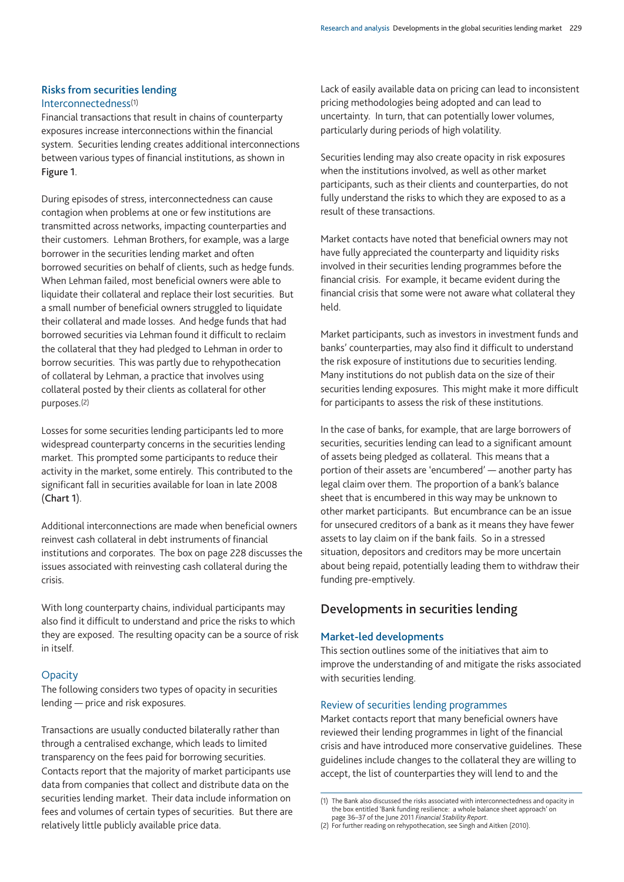## **Risks from securities lending** Interconnectedness(1)

Financial transactions that result in chains of counterparty exposures increase interconnections within the financial system. Securities lending creates additional interconnections between various types of financial institutions, as shown in **Figure 1**.

During episodes of stress, interconnectedness can cause contagion when problems at one or few institutions are transmitted across networks, impacting counterparties and their customers. Lehman Brothers, for example, was a large borrower in the securities lending market and often borrowed securities on behalf of clients, such as hedge funds. When Lehman failed, most beneficial owners were able to liquidate their collateral and replace their lost securities. But a small number of beneficial owners struggled to liquidate their collateral and made losses. And hedge funds that had borrowed securities via Lehman found it difficult to reclaim the collateral that they had pledged to Lehman in order to borrow securities. This was partly due to rehypothecation of collateral by Lehman, a practice that involves using collateral posted by their clients as collateral for other purposes.(2)

Losses for some securities lending participants led to more widespread counterparty concerns in the securities lending market. This prompted some participants to reduce their activity in the market, some entirely. This contributed to the significant fall in securities available for loan in late 2008 (**Chart 1**).

Additional interconnections are made when beneficial owners reinvest cash collateral in debt instruments of financial institutions and corporates. The box on page 228 discusses the issues associated with reinvesting cash collateral during the crisis.

With long counterparty chains, individual participants may also find it difficult to understand and price the risks to which they are exposed. The resulting opacity can be a source of risk in itself.

## **Opacity**

The following considers two types of opacity in securities lending — price and risk exposures.

Transactions are usually conducted bilaterally rather than through a centralised exchange, which leads to limited transparency on the fees paid for borrowing securities. Contacts report that the majority of market participants use data from companies that collect and distribute data on the securities lending market. Their data include information on fees and volumes of certain types of securities. But there are relatively little publicly available price data.

Lack of easily available data on pricing can lead to inconsistent pricing methodologies being adopted and can lead to uncertainty. In turn, that can potentially lower volumes, particularly during periods of high volatility.

Securities lending may also create opacity in risk exposures when the institutions involved, as well as other market participants, such as their clients and counterparties, do not fully understand the risks to which they are exposed to as a result of these transactions.

Market contacts have noted that beneficial owners may not have fully appreciated the counterparty and liquidity risks involved in their securities lending programmes before the financial crisis. For example, it became evident during the financial crisis that some were not aware what collateral they held.

Market participants, such as investors in investment funds and banks' counterparties, may also find it difficult to understand the risk exposure of institutions due to securities lending. Many institutions do not publish data on the size of their securities lending exposures. This might make it more difficult for participants to assess the risk of these institutions.

In the case of banks, for example, that are large borrowers of securities, securities lending can lead to a significant amount of assets being pledged as collateral. This means that a portion of their assets are 'encumbered' — another party has legal claim over them. The proportion of a bank's balance sheet that is encumbered in this way may be unknown to other market participants. But encumbrance can be an issue for unsecured creditors of a bank as it means they have fewer assets to lay claim on if the bank fails. So in a stressed situation, depositors and creditors may be more uncertain about being repaid, potentially leading them to withdraw their funding pre-emptively.

## **Developments in securities lending**

## **Market-led developments**

This section outlines some of the initiatives that aim to improve the understanding of and mitigate the risks associated with securities lending.

## Review of securities lending programmes

Market contacts report that many beneficial owners have reviewed their lending programmes in light of the financial crisis and have introduced more conservative guidelines. These guidelines include changes to the collateral they are willing to accept, the list of counterparties they will lend to and the

<sup>(1)</sup> The Bank also discussed the risks associated with interconnectedness and opacity in the box entitled 'Bank funding resilience: a whole balance sheet approach' on page 36–37 of the June 2011 *Financial Stability Report*.

<sup>(2)</sup> For further reading on rehypothecation, see Singh and Aitken (2010).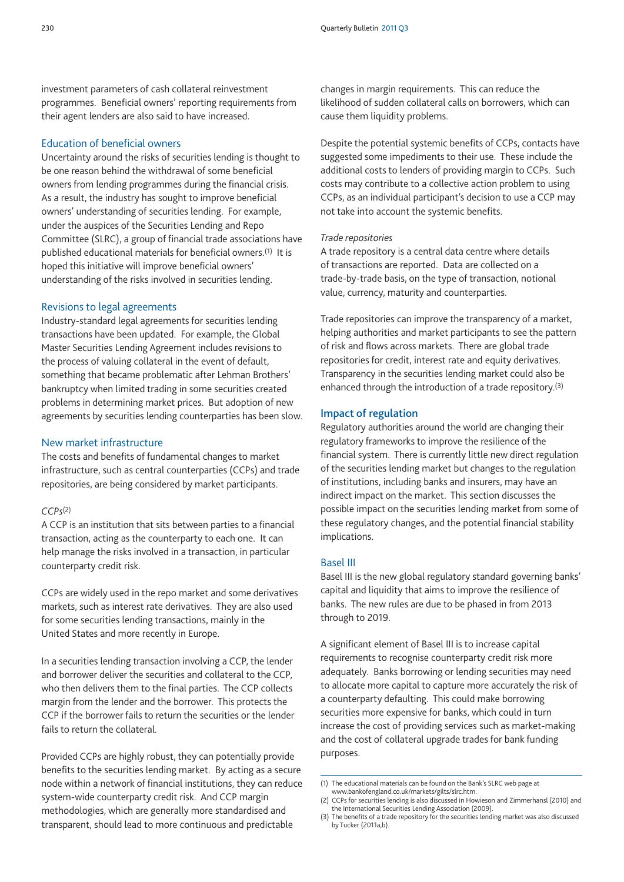investment parameters of cash collateral reinvestment programmes. Beneficial owners' reporting requirements from their agent lenders are also said to have increased.

## Education of beneficial owners

Uncertainty around the risks of securities lending is thought to be one reason behind the withdrawal of some beneficial owners from lending programmes during the financial crisis. As a result, the industry has sought to improve beneficial owners' understanding of securities lending. For example, under the auspices of the Securities Lending and Repo Committee (SLRC), a group of financial trade associations have published educational materials for beneficial owners.(1) It is hoped this initiative will improve beneficial owners' understanding of the risks involved in securities lending.

## Revisions to legal agreements

Industry-standard legal agreements for securities lending transactions have been updated. For example, the Global Master Securities Lending Agreement includes revisions to the process of valuing collateral in the event of default, something that became problematic after Lehman Brothers' bankruptcy when limited trading in some securities created problems in determining market prices. But adoption of new agreements by securities lending counterparties has been slow.

#### New market infrastructure

The costs and benefits of fundamental changes to market infrastructure, such as central counterparties (CCPs) and trade repositories, are being considered by market participants.

#### *CCPs*(2)

A CCP is an institution that sits between parties to a financial transaction, acting as the counterparty to each one. It can help manage the risks involved in a transaction, in particular counterparty credit risk.

CCPs are widely used in the repo market and some derivatives markets, such as interest rate derivatives. They are also used for some securities lending transactions, mainly in the United States and more recently in Europe.

In a securities lending transaction involving a CCP, the lender and borrower deliver the securities and collateral to the CCP, who then delivers them to the final parties. The CCP collects margin from the lender and the borrower. This protects the CCP if the borrower fails to return the securities or the lender fails to return the collateral.

Provided CCPs are highly robust, they can potentially provide benefits to the securities lending market. By acting as a secure node within a network of financial institutions, they can reduce system-wide counterparty credit risk. And CCP margin methodologies, which are generally more standardised and transparent, should lead to more continuous and predictable

changes in margin requirements. This can reduce the likelihood of sudden collateral calls on borrowers, which can cause them liquidity problems.

Despite the potential systemic benefits of CCPs, contacts have suggested some impediments to their use. These include the additional costs to lenders of providing margin to CCPs. Such costs may contribute to a collective action problem to using CCPs, as an individual participant's decision to use a CCP may not take into account the systemic benefits.

#### *Trade repositories*

A trade repository is a central data centre where details of transactions are reported. Data are collected on a trade-by-trade basis, on the type of transaction, notional value, currency, maturity and counterparties.

Trade repositories can improve the transparency of a market, helping authorities and market participants to see the pattern of risk and flows across markets. There are global trade repositories for credit, interest rate and equity derivatives. Transparency in the securities lending market could also be enhanced through the introduction of a trade repository.(3)

#### **Impact of regulation**

Regulatory authorities around the world are changing their regulatory frameworks to improve the resilience of the financial system. There is currently little new direct regulation of the securities lending market but changes to the regulation of institutions, including banks and insurers, may have an indirect impact on the market. This section discusses the possible impact on the securities lending market from some of these regulatory changes, and the potential financial stability implications.

#### Basel III

Basel III is the new global regulatory standard governing banks' capital and liquidity that aims to improve the resilience of banks. The new rules are due to be phased in from 2013 through to 2019.

A significant element of Basel III is to increase capital requirements to recognise counterparty credit risk more adequately. Banks borrowing or lending securities may need to allocate more capital to capture more accurately the risk of a counterparty defaulting. This could make borrowing securities more expensive for banks, which could in turn increase the cost of providing services such as market-making and the cost of collateral upgrade trades for bank funding purposes.

<sup>(1)</sup> The educational materials can be found on the Bank's SLRC web page at www.bankofengland.co.uk/markets/gilts/slrc.htm.

<sup>(2)</sup> CCPs for securities lending is also discussed in Howieson and Zimmerhansl (2010) and

the International Securities Lending Association (2009).

<sup>(3)</sup> The benefits of a trade repository for the securities lending market was also discussed by Tucker (2011a,b).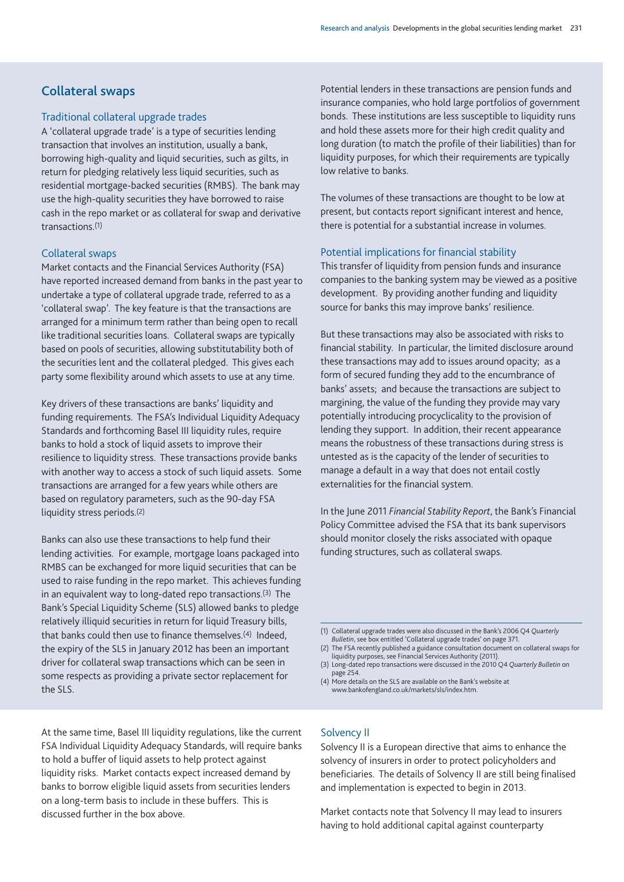# **Collateral swaps**

## Traditional collateral upgrade trades

A 'collateral upgrade trade' is a type of securities lending transaction that involves an institution, usually a bank, borrowing high-quality and liquid securities, such as gilts, in return for pledging relatively less liquid securities, such as residential mortgage-backed securities (RMBS). The bank may use the high-quality securities they have borrowed to raise cash in the repo market or as collateral for swap and derivative transactions.(1)

## Collateral swaps

Market contacts and the Financial Services Authority (FSA) have reported increased demand from banks in the past year to undertake a type of collateral upgrade trade, referred to as a 'collateral swap'. The key feature is that the transactions are arranged for a minimum term rather than being open to recall like traditional securities loans. Collateral swaps are typically based on pools of securities, allowing substitutability both of the securities lent and the collateral pledged. This gives each party some flexibility around which assets to use at any time.

Key drivers of these transactions are banks' liquidity and funding requirements. The FSA's Individual Liquidity Adequacy Standards and forthcoming Basel III liquidity rules, require banks to hold a stock of liquid assets to improve their resilience to liquidity stress. These transactions provide banks with another way to access a stock of such liquid assets. Some transactions are arranged for a few years while others are based on regulatory parameters, such as the 90-day FSA liquidity stress periods.(2)

Banks can also use these transactions to help fund their lending activities. For example, mortgage loans packaged into RMBS can be exchanged for more liquid securities that can be used to raise funding in the repo market. This achieves funding in an equivalent way to long-dated repo transactions.(3) The Bank's Special Liquidity Scheme (SLS) allowed banks to pledge relatively illiquid securities in return for liquid Treasury bills, that banks could then use to finance themselves.(4) Indeed, the expiry of the SLS in January 2012 has been an important driver for collateral swap transactions which can be seen in some respects as providing a private sector replacement for the SLS.

Potential lenders in these transactions are pension funds and insurance companies, who hold large portfolios of government bonds. These institutions are less susceptible to liquidity runs and hold these assets more for their high credit quality and long duration (to match the profile of their liabilities) than for liquidity purposes, for which their requirements are typically low relative to banks.

The volumes of these transactions are thought to be low at present, but contacts report significant interest and hence, there is potential for a substantial increase in volumes.

## Potential implications for financial stability

This transfer of liquidity from pension funds and insurance companies to the banking system may be viewed as a positive development. By providing another funding and liquidity source for banks this may improve banks' resilience.

But these transactions may also be associated with risks to financial stability. In particular, the limited disclosure around these transactions may add to issues around opacity; as a form of secured funding they add to the encumbrance of banks' assets; and because the transactions are subject to margining, the value of the funding they provide may vary potentially introducing procyclicality to the provision of lending they support. In addition, their recent appearance means the robustness of these transactions during stress is untested as is the capacity of the lender of securities to manage a default in a way that does not entail costly externalities for the financial system.

In the June 2011 *Financial Stability Report*, the Bank's Financial Policy Committee advised the FSA that its bank supervisors should monitor closely the risks associated with opaque funding structures, such as collateral swaps.

(4) More details on the SLS are available on the Bank's website at www.bankofengland.co.uk/markets/sls/index.htm.

At the same time, Basel III liquidity regulations, like the current FSA Individual Liquidity Adequacy Standards, will require banks to hold a buffer of liquid assets to help protect against liquidity risks. Market contacts expect increased demand by banks to borrow eligible liquid assets from securities lenders on a long-term basis to include in these buffers. This is discussed further in the box above.

## Solvency II

Solvency II is a European directive that aims to enhance the solvency of insurers in order to protect policyholders and beneficiaries. The details of Solvency II are still being finalised and implementation is expected to begin in 2013.

Market contacts note that Solvency II may lead to insurers having to hold additional capital against counterparty

<sup>(1)</sup> Collateral upgrade trades were also discussed in the Bank's 2006 Q4 *Quarterly Bulletin*, see box entitled 'Collateral upgrade trades' on page 371.

<sup>(2)</sup> The FSA recently published a guidance consultation document on collateral swaps for liquidity purposes, see Financial Services Authority (2011).

<sup>(3)</sup> Long-dated repo transactions were discussed in the 2010 Q4 *Quarterly Bulletin* on page 254.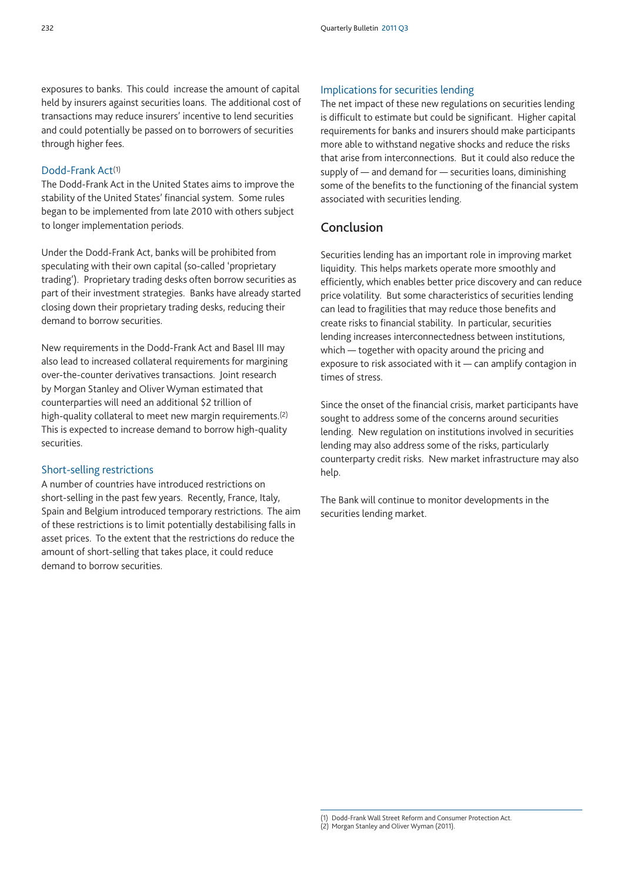exposures to banks. This could increase the amount of capital held by insurers against securities loans. The additional cost of transactions may reduce insurers' incentive to lend securities and could potentially be passed on to borrowers of securities through higher fees.

#### Dodd-Frank Act(1)

The Dodd-Frank Act in the United States aims to improve the stability of the United States' financial system. Some rules began to be implemented from late 2010 with others subject to longer implementation periods.

Under the Dodd-Frank Act, banks will be prohibited from speculating with their own capital (so-called 'proprietary trading'). Proprietary trading desks often borrow securities as part of their investment strategies. Banks have already started closing down their proprietary trading desks, reducing their demand to borrow securities.

New requirements in the Dodd-Frank Act and Basel III may also lead to increased collateral requirements for margining over-the-counter derivatives transactions. Joint research by Morgan Stanley and Oliver Wyman estimated that counterparties will need an additional \$2 trillion of high-quality collateral to meet new margin requirements.(2) This is expected to increase demand to borrow high-quality securities.

#### Short-selling restrictions

A number of countries have introduced restrictions on short-selling in the past few years. Recently, France, Italy, Spain and Belgium introduced temporary restrictions. The aim of these restrictions is to limit potentially destabilising falls in asset prices. To the extent that the restrictions do reduce the amount of short-selling that takes place, it could reduce demand to borrow securities.

## Implications for securities lending

The net impact of these new regulations on securities lending is difficult to estimate but could be significant. Higher capital requirements for banks and insurers should make participants more able to withstand negative shocks and reduce the risks that arise from interconnections. But it could also reduce the supply of — and demand for — securities loans, diminishing some of the benefits to the functioning of the financial system associated with securities lending.

## **Conclusion**

Securities lending has an important role in improving market liquidity. This helps markets operate more smoothly and efficiently, which enables better price discovery and can reduce price volatility. But some characteristics of securities lending can lead to fragilities that may reduce those benefits and create risks to financial stability. In particular, securities lending increases interconnectedness between institutions, which — together with opacity around the pricing and exposure to risk associated with it — can amplify contagion in times of stress.

Since the onset of the financial crisis, market participants have sought to address some of the concerns around securities lending. New regulation on institutions involved in securities lending may also address some of the risks, particularly counterparty credit risks. New market infrastructure may also help.

The Bank will continue to monitor developments in the securities lending market.

<sup>(1)</sup> Dodd-Frank Wall Street Reform and Consumer Protection Act. (2) Morgan Stanley and Oliver Wyman (2011).